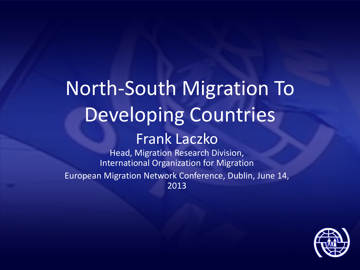# North-South Migration To Developing Countries Frank Laczko

Head, Migration Research Division, International Organization for Migration European Migration Network Conference, Dublin, June 14, 2013

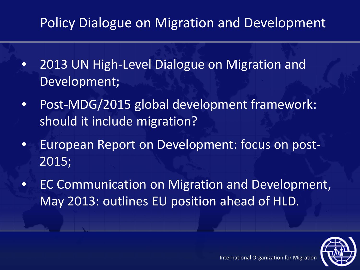### Policy Dialogue on Migration and Development

- 2013 UN High-Level Dialogue on Migration and Development;
- Post-MDG/2015 global development framework: should it include migration?
- European Report on Development: focus on post-2015;
- EC Communication on Migration and Development, May 2013: outlines EU position ahead of HLD.

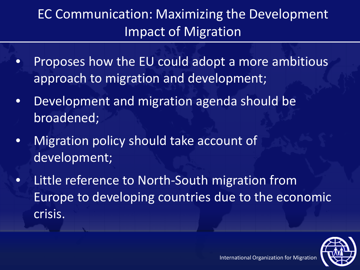### EC Communication: Maximizing the Development Impact of Migration

- Proposes how the EU could adopt a more ambitious approach to migration and development;
- Development and migration agenda should be broadened;
- Migration policy should take account of development;
- Little reference to North-South migration from Europe to developing countries due to the economic crisis.

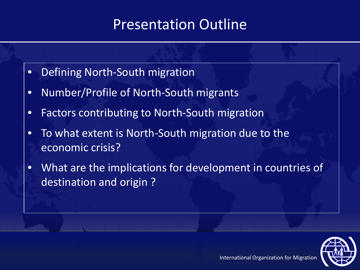### Presentation Outline

- Defining North-South migration
- Number/Profile of North-South migrants
- Factors contributing to North-South migration
- To what extent is North-South migration due to the economic crisis?
- What are the implications for development in countries of destination and origin ?

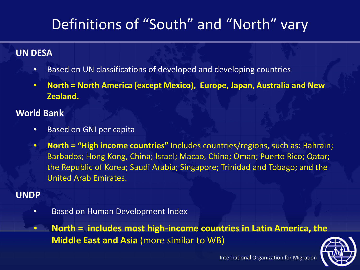# Definitions of "South" and "North" vary

#### **UN DESA**

- Based on UN classifications of developed and developing countries
- **North = North America (except Mexico), Europe, Japan, Australia and New Zealand.**

#### **World Bank**

- Based on GNI per capita
- **North = "High income countries"** Includes countries/regions, such as: Bahrain; Barbados; Hong Kong, China; Israel; Macao, China; Oman; Puerto Rico; Qatar; the Republic of Korea; Saudi Arabia; Singapore; Trinidad and Tobago; and the United Arab Emirates.

### **UNDP**

• Based on Human Development Index

• **North = includes most high-income countries in Latin America, the Middle East and Asia** (more similar to WB)

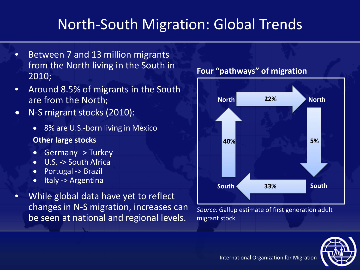# North-South Migration: Global Trends

- Between 7 and 13 million migrants from the North living in the South in 2010;
- Around 8.5% of migrants in the South are from the North;
- N-S migrant stocks (2010):
	- 8% are U.S.-born living in Mexico

#### **Other large stocks**

- Germany -> Turkey
- U.S. -> South Africa
- Portugal -> Brazil
- Italy -> Argentina
- While global data have yet to reflect changes in N-S migration, increases can be seen at national and regional levels.

#### **Four "pathways" of migration**



*Source:* Gallup estimate of first generation adult migrant stock

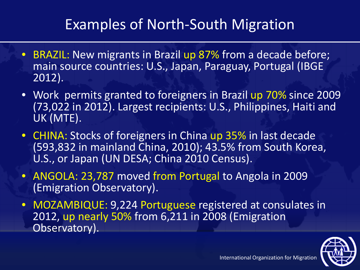# Examples of North-South Migration

- BRAZIL: New migrants in Brazil up 87% from a decade before; main source countries: U.S., Japan, Paraguay, Portugal (IBGE 2012).
- Work permits granted to foreigners in Brazil up 70% since 2009 (73,022 in 2012). Largest recipients: U.S., Philippines, Haiti and UK (MTE).
- CHINA: Stocks of foreigners in China up 35% in last decade (593,832 in mainland China, 2010); 43.5% from South Korea, U.S., or Japan (UN DESA; China 2010 Census).
- ANGOLA: 23,787 moved from Portugal to Angola in 2009 (Emigration Observatory).
- MOZAMBIQUE: 9,224 Portuguese registered at consulates in 2012, up nearly 50% from 6,211 in 2008 (Emigration Observatory).

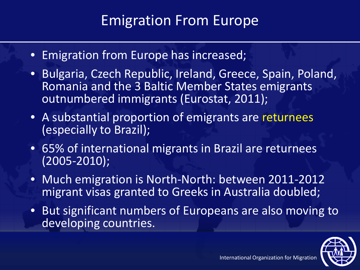### Emigration From Europe

- Emigration from Europe has increased;
- Bulgaria, Czech Republic, Ireland, Greece, Spain, Poland, Romania and the 3 Baltic Member States emigrants outnumbered immigrants (Eurostat, 2011);
- A substantial proportion of emigrants are returnees (especially to Brazil);
- 65% of international migrants in Brazil are returnees (2005-2010);
- Much emigration is North-North: between 2011-2012 migrant visas granted to Greeks in Australia doubled;
- But significant numbers of Europeans are also moving to developing countries.

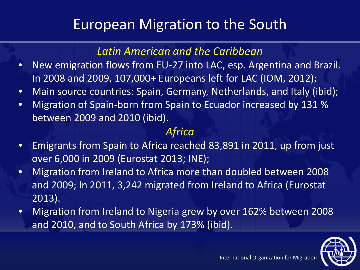### European Migration to the South

### *Latin American and the Caribbean*

- New emigration flows from EU-27 into LAC, esp. Argentina and Brazil. In 2008 and 2009, 107,000+ Europeans left for LAC (IOM, 2012);
- Main source countries: Spain, Germany, Netherlands, and Italy (ibid);
- Migration of Spain-born from Spain to Ecuador increased by 131 % between 2009 and 2010 (ibid).

### *Africa*

- Emigrants from Spain to Africa reached 83,891 in 2011, up from just over 6,000 in 2009 (Eurostat 2013; INE);
- Migration from Ireland to Africa more than doubled between 2008 and 2009; In 2011, 3,242 migrated from Ireland to Africa (Eurostat 2013).
- Migration from Ireland to Nigeria grew by over 162% between 2008 and 2010, and to South Africa by 173% (ibid).

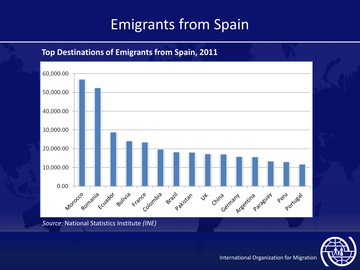# Emigrants from Spain

#### 60,000.00 50,000.00 40,000.00 30,000.00 20,000.00 10,000.00 Morocco Romania 0.00 Peru rues rance ombia of golivia ila France Fria cuador Brazil razil stan China <sub>prestru</sub>entina <sub>prestat</sub>  $\rightsquigarrow$

**Top Destinations of Emigrants from Spain, 2011**

*Source:* National Statistics Institute *(INE)* 

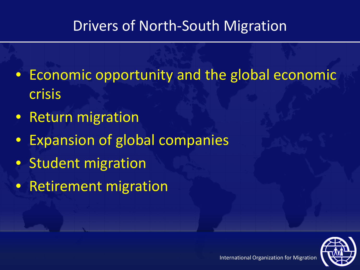### Drivers of North-South Migration

- Economic opportunity and the global economic crisis
- Return migration
- Expansion of global companies
- Student migration
- Retirement migration

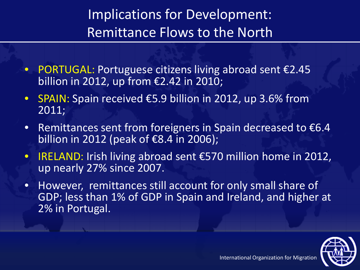# Implications for Development: Remittance Flows to the North

- PORTUGAL: Portuguese citizens living abroad sent €2.45 billion in 2012, up from €2.42 in 2010;
- SPAIN: Spain received €5.9 billion in 2012, up 3.6% from 2011;
- Remittances sent from foreigners in Spain decreased to  $\epsilon$ 6.4 billion in  $\overline{2012}$  (peak of  $\epsilon$ 8.4 in 2006);
- IRELAND: Irish living abroad sent €570 million home in 2012, up nearly 27% since 2007.
- However, remittances still account for only small share of GDP; less than 1% of GDP in Spain and Ireland, and higher at 2% in Portugal.

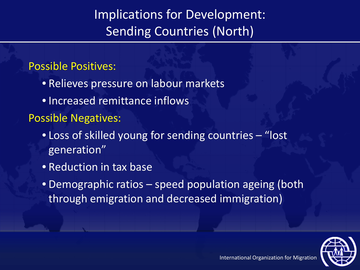### Implications for Development: Sending Countries (North)

### Possible Positives:

- Relieves pressure on labour markets
- Increased remittance inflows

Possible Negatives:

- Loss of skilled young for sending countries "lost generation"
- Reduction in tax base
- Demographic ratios speed population ageing (both through emigration and decreased immigration)

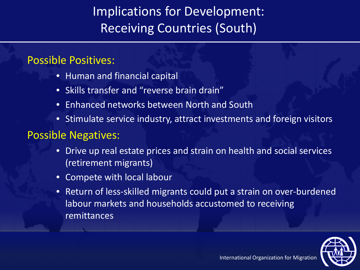### Implications for Development: Receiving Countries (South)

### Possible Positives:

- Human and financial capital
- Skills transfer and "reverse brain drain"
- Enhanced networks between North and South
- Stimulate service industry, attract investments and foreign visitors

### Possible Negatives:

- Drive up real estate prices and strain on health and social services (retirement migrants)
- Compete with local labour
- Return of less-skilled migrants could put a strain on over-burdened labour markets and households accustomed to receiving remittances

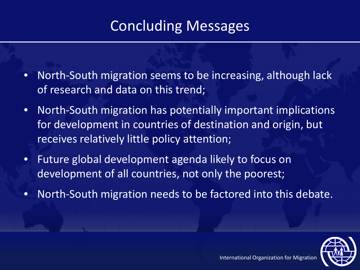# Concluding Messages

- North-South migration seems to be increasing, although lack of research and data on this trend;
- North-South migration has potentially important implications for development in countries of destination and origin, but receives relatively little policy attention;
- Future global development agenda likely to focus on development of all countries, not only the poorest;
- North-South migration needs to be factored into this debate.